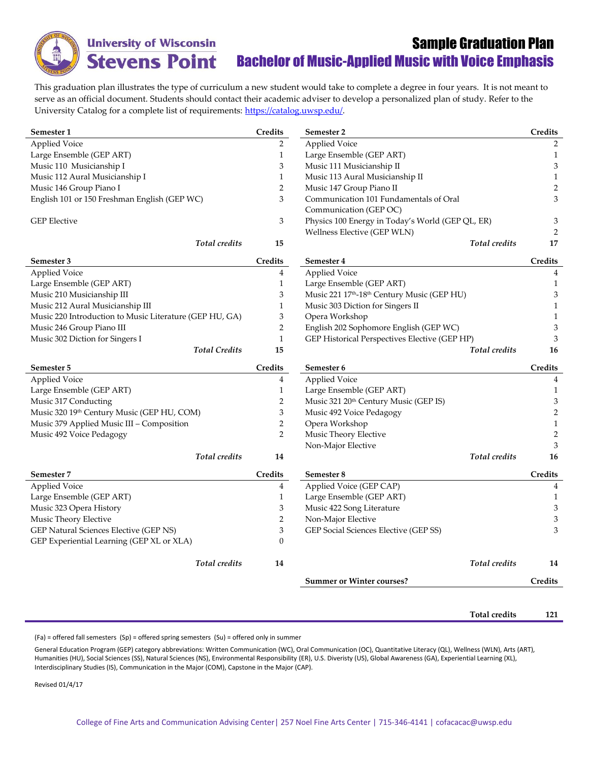

**University of Wisconsin Stevens Point** 

## Sample Graduation Plan Bachelor of Music-Applied Music with Voice Emphasis

**Total credits 121**

This graduation plan illustrates the type of curriculum a new student would take to complete a degree in four years. It is not meant to serve as an official document. Students should contact their academic adviser to develop a personalized plan of study. Refer to the University Catalog for a complete list of requirements[: https://catalog.uwsp.edu/.](https://catalog.uwsp.edu/)

| Semester 1                                              | Credits        | Semester 2                                       | Credits        |
|---------------------------------------------------------|----------------|--------------------------------------------------|----------------|
| <b>Applied Voice</b>                                    | $\overline{2}$ | <b>Applied Voice</b>                             | 2              |
| Large Ensemble (GEP ART)                                | $\mathbf{1}$   | Large Ensemble (GEP ART)                         | 1              |
| Music 110 Musicianship I                                | 3              | Music 111 Musicianship II                        | 3              |
| Music 112 Aural Musicianship I                          | $\mathbf{1}$   | Music 113 Aural Musicianship II                  | $\mathbf{1}$   |
| Music 146 Group Piano I                                 | $\overline{2}$ | Music 147 Group Piano II                         | $\overline{2}$ |
| English 101 or 150 Freshman English (GEP WC)            | 3              | Communication 101 Fundamentals of Oral           | 3              |
|                                                         |                | Communication (GEP OC)                           |                |
| <b>GEP</b> Elective                                     | 3              | Physics 100 Energy in Today's World (GEP QL, ER) | 3              |
|                                                         |                | Wellness Elective (GEP WLN)                      | 2              |
| <b>Total</b> credits                                    | 15             | Total credits                                    | 17             |
| Semester 3                                              | <b>Credits</b> | Semester 4                                       | Credits        |
| <b>Applied Voice</b>                                    | 4              | <b>Applied Voice</b>                             | 4              |
| Large Ensemble (GEP ART)                                | $\mathbf{1}$   | Large Ensemble (GEP ART)                         | $\mathbf{1}$   |
| Music 210 Musicianship III                              | 3              | Music 221 17th-18th Century Music (GEP HU)       | 3              |
| Music 212 Aural Musicianship III                        | $\mathbf{1}$   | Music 303 Diction for Singers II                 | $\mathbf{1}$   |
| Music 220 Introduction to Music Literature (GEP HU, GA) | 3              | Opera Workshop                                   | $\mathbf{1}$   |
| Music 246 Group Piano III                               | $\overline{2}$ | English 202 Sophomore English (GEP WC)           | 3              |
| Music 302 Diction for Singers I                         | $\mathbf{1}$   | GEP Historical Perspectives Elective (GEP HP)    | 3              |
| <b>Total Credits</b>                                    | 15             | Total credits                                    | 16             |
| Semester 5                                              | Credits        | Semester 6                                       | Credits        |
| <b>Applied Voice</b>                                    | 4              | <b>Applied Voice</b>                             | 4              |
| Large Ensemble (GEP ART)                                | $\mathbf{1}$   | Large Ensemble (GEP ART)                         | $\mathbf{1}$   |
| Music 317 Conducting                                    | $\overline{2}$ | Music 321 20th Century Music (GEP IS)            | 3              |
| Music 320 19th Century Music (GEP HU, COM)              | 3              | Music 492 Voice Pedagogy                         | $\overline{2}$ |
| Music 379 Applied Music III - Composition               | 2              | Opera Workshop                                   | $\mathbf{1}$   |
| Music 492 Voice Pedagogy                                | $\overline{2}$ | Music Theory Elective                            | $\sqrt{2}$     |
|                                                         |                | Non-Major Elective                               | 3              |
| Total credits                                           | 14             | Total credits                                    | 16             |
| Semester 7                                              | Credits        | Semester 8                                       | Credits        |
| <b>Applied Voice</b>                                    | 4              | Applied Voice (GEP CAP)                          | $\overline{4}$ |
| Large Ensemble (GEP ART)                                | $\mathbf{1}$   | Large Ensemble (GEP ART)                         | $\mathbf{1}$   |
| Music 323 Opera History                                 | 3              | Music 422 Song Literature                        | 3              |
| Music Theory Elective                                   | $\overline{2}$ | Non-Major Elective                               | 3              |
| GEP Natural Sciences Elective (GEP NS)                  | 3              | GEP Social Sciences Elective (GEP SS)            | 3              |
| GEP Experiential Learning (GEP XL or XLA)               | $\overline{0}$ |                                                  |                |
| Total credits                                           | 14             | Total credits                                    | 14             |
|                                                         |                | <b>Summer or Winter courses?</b>                 | Credits        |
|                                                         |                |                                                  |                |

 $(Fa)$  = offered fall semesters  $(Sp)$  = offered spring semesters  $(Su)$  = offered only in summer

General Education Program (GEP) category abbreviations: Written Communication (WC), Oral Communication (OC), Quantitative Literacy (QL), Wellness (WLN), Arts (ART), Humanities (HU), Social Sciences (SS), Natural Sciences (NS), Environmental Responsibility (ER), U.S. Diveristy (US), Global Awareness (GA), Experiential Learning (XL), Interdisciplinary Studies (IS), Communication in the Major (COM), Capstone in the Major (CAP).

Revised 01/4/17